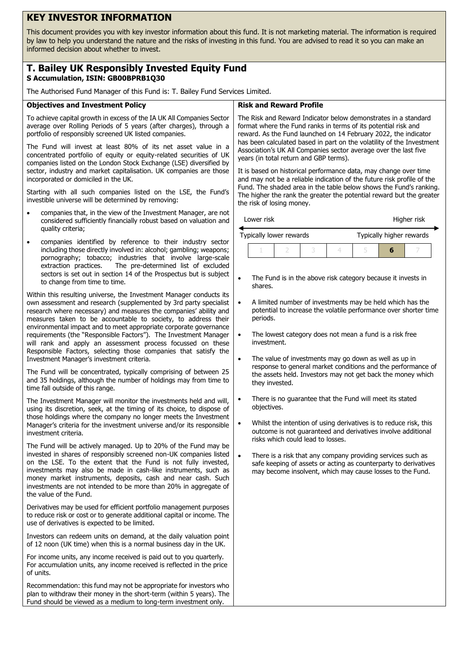# **KEY INVESTOR INFORMATION**

This document provides you with key investor information about this fund. It is not marketing material. The information is required by law to help you understand the nature and the risks of investing in this fund. You are advised to read it so you can make an informed decision about whether to invest.

## **T. Bailey UK Responsibly Invested Equity Fund S Accumulation, ISIN: GB00BPRB1Q30**

The Authorised Fund Manager of this Fund is: T. Bailey Fund Services Limited.

### **Objectives and Investment Policy**

To achieve capital growth in excess of the IA UK All Companies Sector average over Rolling Periods of 5 years (after charges), through a portfolio of responsibly screened UK listed companies.

The Fund will invest at least 80% of its net asset value in a concentrated portfolio of equity or equity-related securities of UK companies listed on the London Stock Exchange (LSE) diversified by sector, industry and market capitalisation. UK companies are those incorporated or domiciled in the UK.

Starting with all such companies listed on the LSE, the Fund's investible universe will be determined by removing:

- companies that, in the view of the Investment Manager, are not considered sufficiently financially robust based on valuation and quality criteria;
- companies identified by reference to their industry sector including those directly involved in: alcohol; gambling; weapons; pornography; tobacco; industries that involve large-scale extraction practices. The pre-determined list of excluded sectors is set out in section 14 of the Prospectus but is subject to change from time to time.

Within this resulting universe, the Investment Manager conducts its own assessment and research (supplemented by 3rd party specialist research where necessary) and measures the companies' ability and measures taken to be accountable to society, to address their environmental impact and to meet appropriate corporate governance requirements (the "Responsible Factors"). The Investment Manager will rank and apply an assessment process focussed on these Responsible Factors, selecting those companies that satisfy the Investment Manager's investment criteria.

The Fund will be concentrated, typically comprising of between 25 and 35 holdings, although the number of holdings may from time to time fall outside of this range.

The Investment Manager will monitor the investments held and will, using its discretion, seek, at the timing of its choice, to dispose of those holdings where the company no longer meets the Investment Manager's criteria for the investment universe and/or its responsible investment criteria.

The Fund will be actively managed. Up to 20% of the Fund may be invested in shares of responsibly screened non-UK companies listed on the LSE. To the extent that the Fund is not fully invested, investments may also be made in cash-like instruments, such as money market instruments, deposits, cash and near cash. Such investments are not intended to be more than 20% in aggregate of the value of the Fund.

Derivatives may be used for efficient portfolio management purposes to reduce risk or cost or to generate additional capital or income. The use of derivatives is expected to be limited.

Investors can redeem units on demand, at the daily valuation point of 12 noon (UK time) when this is a normal business day in the UK.

For income units, any income received is paid out to you quarterly. For accumulation units, any income received is reflected in the price of units.

Recommendation: this fund may not be appropriate for investors who plan to withdraw their money in the short-term (within 5 years). The Fund should be viewed as a medium to long-term investment only.

#### **Risk and Reward Profile**

The Risk and Reward Indicator below demonstrates in a standard format where the Fund ranks in terms of its potential risk and reward. As the Fund launched on 14 February 2022, the indicator has been calculated based in part on the volatility of the Investment Association's UK All Companies sector average over the last five years (in total return and GBP terms).

It is based on historical performance data, may change over time and may not be a reliable indication of the future risk profile of the Fund. The shaded area in the table below shows the Fund's ranking. The higher the rank the greater the potential reward but the greater the risk of losing money.

| Lower risk              | Higher risk              |
|-------------------------|--------------------------|
| Typically lower rewards | Typically higher rewards |

1 2 3 4 5 **6** 7

- The Fund is in the above risk category because it invests in shares.
- A limited number of investments may be held which has the potential to increase the volatile performance over shorter time periods.
- The lowest category does not mean a fund is a risk free investment.
- The value of investments may go down as well as up in response to general market conditions and the performance of the assets held. Investors may not get back the money which they invested.
- There is no quarantee that the Fund will meet its stated objectives.
- Whilst the intention of using derivatives is to reduce risk, this outcome is not guaranteed and derivatives involve additional risks which could lead to losses.
- There is a risk that any company providing services such as safe keeping of assets or acting as counterparty to derivatives may become insolvent, which may cause losses to the Fund.